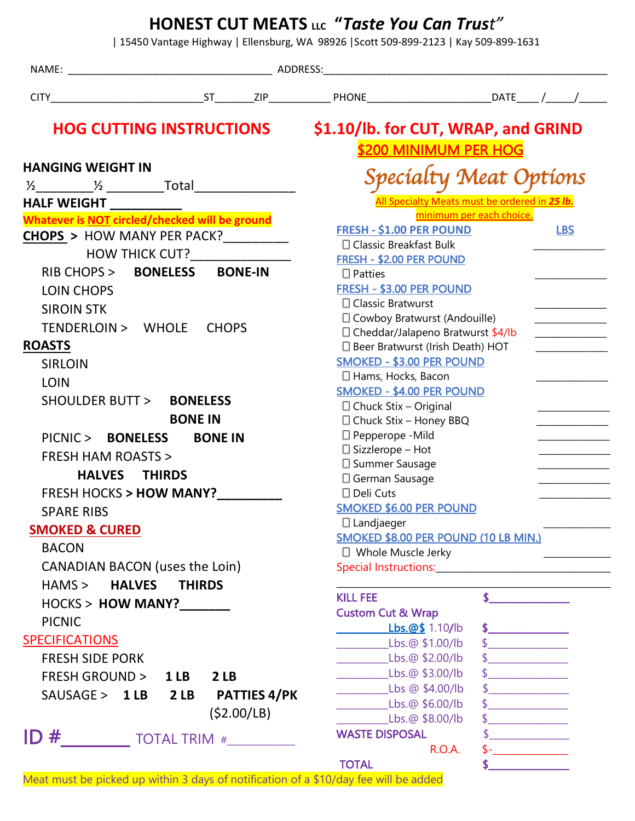| <b>HOG CUTTING INSTRUCTIONS</b>                 |                             | \$1.10/lb. for CUT, WRAP, and GRIND<br>\$200 MINIMUM PER HOG |                                                                  |                                               |                                |
|-------------------------------------------------|-----------------------------|--------------------------------------------------------------|------------------------------------------------------------------|-----------------------------------------------|--------------------------------|
| <b>HANGING WEIGHT IN</b>                        |                             |                                                              |                                                                  |                                               |                                |
| $\frac{1}{2}$ $\frac{1}{2}$ Total $\frac{1}{2}$ |                             |                                                              |                                                                  | Specialty Meat Options                        |                                |
| <b>HALF WEIGHT ___________</b>                  |                             |                                                              |                                                                  | All Specialty Meats must be ordered in 25 lb. |                                |
| Whatever is NOT circled/checked will be ground  |                             |                                                              |                                                                  | minimum per each choice.                      |                                |
| CHOPS > HOW MANY PER PACK?_________             |                             |                                                              | FRESH - \$1.00 PER POUND<br><b>LBS</b>                           |                                               |                                |
| HOW THICK CUT?_______________                   |                             |                                                              | □ Classic Breakfast Bulk                                         |                                               |                                |
| RIB CHOPS > BONELESS BONE-IN                    |                             |                                                              | <b>FRESH - \$2.00 PER POUND</b><br>$\Box$ Patties                |                                               |                                |
| <b>LOIN CHOPS</b>                               |                             |                                                              | FRESH - \$3.00 PER POUND                                         |                                               |                                |
|                                                 |                             |                                                              | □ Classic Bratwurst                                              |                                               |                                |
| <b>SIROIN STK</b>                               |                             |                                                              | Cowboy Bratwurst (Andouille)                                     |                                               |                                |
| TENDERLOIN > WHOLE CHOPS                        |                             |                                                              | □ Cheddar/Jalapeno Bratwurst \$4/lb                              |                                               |                                |
| <b>ROASTS</b>                                   |                             |                                                              | □ Beer Bratwurst (Irish Death) HOT                               |                                               |                                |
| <b>SIRLOIN</b>                                  |                             |                                                              | <b>SMOKED - \$3.00 PER POUND</b>                                 |                                               |                                |
| LOIN                                            |                             | Hams, Hocks, Bacon                                           |                                                                  |                                               |                                |
| SHOULDER BUTT > BONELESS                        |                             |                                                              | <b>SMOKED - \$4.00 PER POUND</b><br>$\Box$ Chuck Stix - Original |                                               |                                |
| <b>BONE IN</b>                                  |                             |                                                              | □ Chuck Stix - Honey BBQ                                         |                                               |                                |
| PICNIC > BONELESS<br><b>BONE IN</b>             |                             |                                                              | □ Pepperope -Mild                                                |                                               |                                |
| <b>FRESH HAM ROASTS &gt;</b>                    |                             |                                                              | $\Box$ Sizzlerope – Hot                                          |                                               |                                |
|                                                 |                             |                                                              | □ Summer Sausage                                                 |                                               |                                |
| <b>HALVES THIRDS</b>                            |                             |                                                              | $\square$ German Sausage                                         |                                               |                                |
| <b>FRESH HOCKS &gt; HOW MANY?</b>               |                             |                                                              | □ Deli Cuts                                                      |                                               |                                |
| <b>SPARE RIBS</b>                               |                             |                                                              | <b>SMOKED \$6.00 PER POUND</b><br>$\Box$ Landjaeger              |                                               |                                |
| <b>SMOKED &amp; CURED</b>                       |                             |                                                              | <b>SMOKED \$8.00 PER POUND (10 LB MIN.)</b>                      |                                               |                                |
| <b>BACON</b>                                    |                             |                                                              | $\Box$ Whole Muscle Jerky                                        |                                               |                                |
| CANADIAN BACON (uses the Loin)                  |                             |                                                              |                                                                  |                                               |                                |
| HAMS > HALVES THIRDS                            |                             |                                                              |                                                                  |                                               |                                |
|                                                 | <b>HOCKS &gt; HOW MANY?</b> |                                                              | <b>KILL FEE</b>                                                  |                                               | $\sim$                         |
| <b>PICNIC</b>                                   |                             |                                                              | <b>Custom Cut &amp; Wrap</b>                                     |                                               |                                |
| <b>SPECIFICATIONS</b>                           |                             |                                                              | Lbs.@\$1.10/lb                                                   |                                               | $\frac{1}{2}$                  |
|                                                 |                             |                                                              | Lbs.@ \$1.00/lb                                                  |                                               | $\frac{1}{2}$                  |
| <b>FRESH SIDE PORK</b>                          |                             |                                                              | Lbs.@ \$2.00/lb                                                  |                                               | $\frac{1}{2}$                  |
|                                                 | FRESH GROUND > 1LB 2LB      |                                                              | Lbs.@ \$3.00/lb<br>Lbs @ \$4.00/lb                               |                                               | $\frac{1}{2}$<br>$\frac{1}{2}$ |
| SAUSAGE > 1LB 2LB PATTIES 4/PK                  |                             |                                                              | Lbs.@ \$6.00/lb                                                  |                                               | $\frac{1}{2}$                  |
|                                                 |                             | (52.00/LB)                                                   | Lbs.@ \$8.00/lb                                                  |                                               | $\frac{1}{2}$                  |
| $ID # \_\_\_\_\$ TOTAL TRIM #                   |                             |                                                              | <b>WASTE DISPOSAL</b>                                            |                                               | $\frac{1}{2}$                  |
|                                                 |                             |                                                              |                                                                  | R.O.A.                                        |                                |
|                                                 |                             |                                                              | <b>TOTAL</b>                                                     |                                               |                                |

Meat must be picked up within 3 days of notification of a \$10/day fee will be added